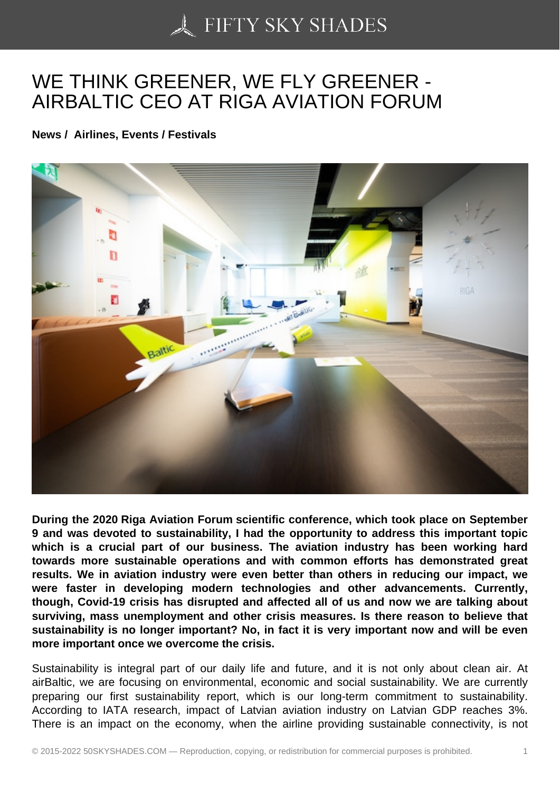## [WE THINK GREENER](https://50skyshades.com), WE FLY GREENER - AIRBALTIC CEO AT RIGA AVIATION FORUM

News / Airlines, Events / Festivals

During the 2020 Riga Aviation Forum scientific conference, which took place on September 9 and was devoted to sustainability, I had the opportunity to address this important topic which is a crucial part of our business. The aviation industry has been working hard towards more sustainable operations and with common efforts has demonstrated great results. We in aviation industry were even better than others in reducing our impact, we were faster in developing modern technologies and other advancements. Currently, though, Covid-19 crisis has disrupted and affected all of us and now we are talking about surviving, mass unemployment and other crisis measures. Is there reason to believe that sustainability is no longer important? No, in fact it is very important now and will be even more important once we overcome the crisis.

Sustainability is integral part of our daily life and future, and it is not only about clean air. At airBaltic, we are focusing on environmental, economic and social sustainability. We are currently preparing our first sustainability report, which is our long-term commitment to sustainability. According to IATA research, impact of Latvian aviation industry on Latvian GDP reaches 3%. There is an impact on the economy, when the airline providing sustainable connectivity, is not